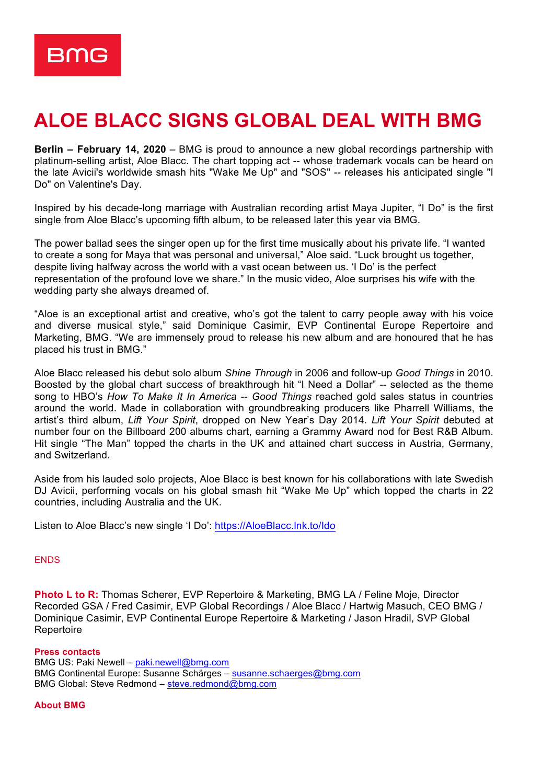

## **ALOE BLACC SIGNS GLOBAL DEAL WITH BMG**

**Berlin – February 14, 2020** – BMG is proud to announce a new global recordings partnership with platinum-selling artist, Aloe Blacc. The chart topping act -- whose trademark vocals can be heard on the late Avicii's worldwide smash hits "Wake Me Up" and "SOS" -- releases his anticipated single "I Do" on Valentine's Day.

Inspired by his decade-long marriage with Australian recording artist Maya Jupiter, "I Do" is the first single from Aloe Blacc's upcoming fifth album, to be released later this year via BMG.

The power ballad sees the singer open up for the first time musically about his private life. "I wanted to create a song for Maya that was personal and universal," Aloe said. "Luck brought us together, despite living halfway across the world with a vast ocean between us. 'I Do' is the perfect representation of the profound love we share." In the music video, Aloe surprises his wife with the wedding party she always dreamed of.

"Aloe is an exceptional artist and creative, who's got the talent to carry people away with his voice and diverse musical style," said Dominique Casimir, EVP Continental Europe Repertoire and Marketing, BMG. "We are immensely proud to release his new album and are honoured that he has placed his trust in BMG."

Aloe Blacc released his debut solo album *Shine Through* in 2006 and follow-up *Good Things* in 2010. Boosted by the global chart success of breakthrough hit "I Need a Dollar" -- selected as the theme song to HBO's *How To Make It In America* -- *Good Things* reached gold sales status in countries around the world. Made in collaboration with groundbreaking producers like Pharrell Williams, the artist's third album, *Lift Your Spirit*, dropped on New Year's Day 2014. *Lift Your Spirit* debuted at number four on the Billboard 200 albums chart, earning a Grammy Award nod for Best R&B Album. Hit single "The Man" topped the charts in the UK and attained chart success in Austria, Germany, and Switzerland.

Aside from his lauded solo projects, Aloe Blacc is best known for his collaborations with late Swedish DJ Avicii, performing vocals on his global smash hit "Wake Me Up" which topped the charts in 22 countries, including Australia and the UK.

Listen to Aloe Blacc's new single 'I Do': https://AloeBlacc.lnk.to/Ido

## **ENDS**

**Photo L to R:** Thomas Scherer, EVP Repertoire & Marketing, BMG LA / Feline Moje, Director Recorded GSA / Fred Casimir, EVP Global Recordings / Aloe Blacc / Hartwig Masuch, CEO BMG / Dominique Casimir, EVP Continental Europe Repertoire & Marketing / Jason Hradil, SVP Global Repertoire

## **Press contacts**

BMG US: Paki Newell – paki.newell@bmg.com BMG Continental Europe: Susanne Schärges – susanne.schaerges@bmg.com BMG Global: Steve Redmond – steve.redmond@bmg.com

## **About BMG**